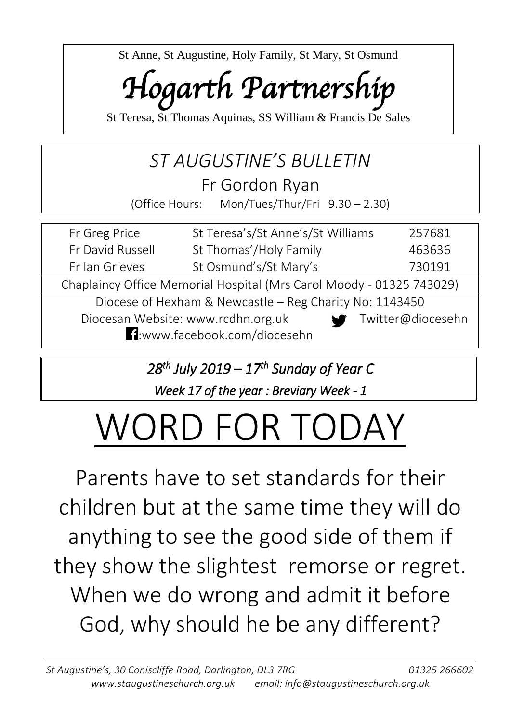St Anne, St Augustine, Holy Family, St Mary, St Osmund

## *Hogarth Partnership*

St Teresa, St Thomas Aquinas, SS William & Francis De Sales

### *ST AUGUSTINE'S BULLETIN*

Fr Gordon Ryan

(Office Hours: Mon/Tues/Thur/Fri 9.30 – 2.30)

| Fr Greg Price                                                        | St Teresa's/St Anne's/St Williams | 257681 |  |  |  |  |
|----------------------------------------------------------------------|-----------------------------------|--------|--|--|--|--|
| Fr David Russell                                                     | St Thomas'/Holy Family            | 463636 |  |  |  |  |
| Fr Ian Grieves                                                       | St Osmund's/St Mary's             | 730191 |  |  |  |  |
| Chaplaincy Office Memorial Hospital (Mrs Carol Moody - 01325 743029) |                                   |        |  |  |  |  |
| Diocese of Hexham & Newcastle - Reg Charity No: 1143450              |                                   |        |  |  |  |  |
| Diocesan Website: www.rcdhn.org.uk<br>Twitter@diocesehn<br>V         |                                   |        |  |  |  |  |
| <b>1</b> :www.facebook.com/diocesehn                                 |                                   |        |  |  |  |  |

*28 th July 2019 – 17 th Sunday of Year C* 

*Week 17 of the year : Breviary Week - 1*

# DRD FOR TOD

Parents have to set standards for their children but at the same time they will do anything to see the good side of them if they show the slightest remorse or regret. When we do wrong and admit it before God, why should he be any different?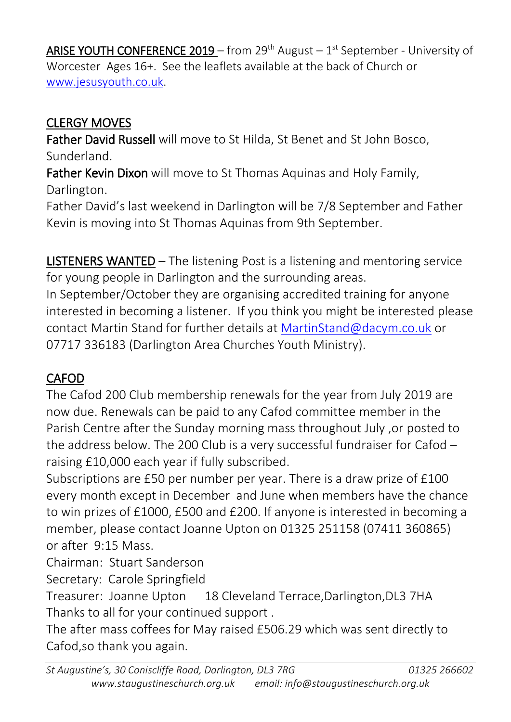ARISE YOUTH CONFERENCE 2019 – from 29th August – 1 st September - University of Worcester Ages 16+. See the leaflets available at the back of Church or [www.jesusyouth.co.uk.](http://www.jesusyouth.co.uk/)

#### CLERGY MOVES

Father David Russell will move to St Hilda, St Benet and St John Bosco, Sunderland.

Father Kevin Dixon will move to St Thomas Aquinas and Holy Family, Darlington.

Father David's last weekend in Darlington will be 7/8 September and Father Kevin is moving into St Thomas Aquinas from 9th September.

LISTENERS WANTED – The listening Post is a listening and mentoring service for young people in Darlington and the surrounding areas.

In September/October they are organising accredited training for anyone interested in becoming a listener. If you think you might be interested please contact Martin Stand for further details at [MartinStand@dacym.co.uk](mailto:MartinStand@dacym.co.uk) or 07717 336183 (Darlington Area Churches Youth Ministry).

#### CAFOD

The Cafod 200 Club membership renewals for the year from July 2019 are now due. Renewals can be paid to any Cafod committee member in the Parish Centre after the Sunday morning mass throughout July ,or posted to the address below. The 200 Club is a very successful fundraiser for Cafod – raising £10,000 each year if fully subscribed.

Subscriptions are £50 per number per year. There is a draw prize of £100 every month except in December and June when members have the chance to win prizes of £1000, £500 and £200. If anyone is interested in becoming a member, please contact Joanne Upton on 01325 251158 (07411 360865) or after 9:15 Mass.

Chairman: Stuart Sanderson

Secretary: Carole Springfield

Treasurer: Joanne Upton 18 Cleveland Terrace,Darlington,DL3 7HA Thanks to all for your continued support .

The after mass coffees for May raised £506.29 which was sent directly to Cafod,so thank you again.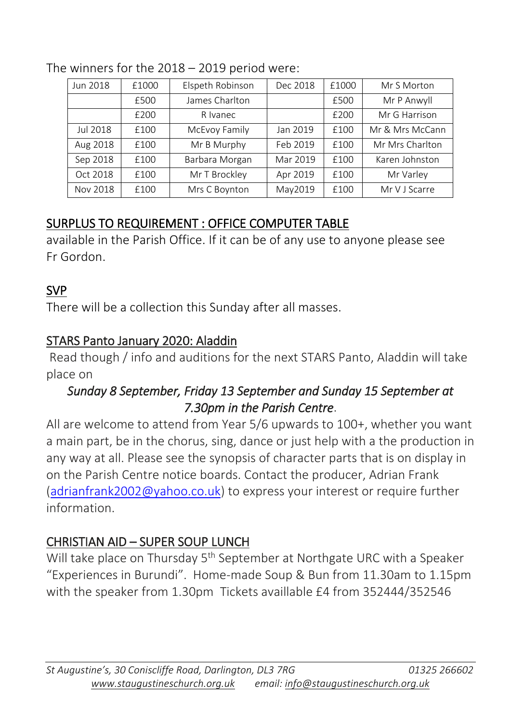| Jun 2018 | £1000 | Elspeth Robinson | Dec 2018 | £1000 | Mr S Morton     |
|----------|-------|------------------|----------|-------|-----------------|
|          | £500  | James Charlton   |          | £500  | Mr P Anwyll     |
|          | £200  | R Ivanec         |          | £200  | Mr G Harrison   |
| Jul 2018 | £100  | McEvoy Family    | Jan 2019 | £100  | Mr & Mrs McCann |
| Aug 2018 | £100  | Mr B Murphy      | Feb 2019 | £100  | Mr Mrs Charlton |
| Sep 2018 | £100  | Barbara Morgan   | Mar 2019 | £100  | Karen Johnston  |
| Oct 2018 | £100  | Mr T Brockley    | Apr 2019 | £100  | Mr Varley       |
| Nov 2018 | £100  | Mrs C Boynton    | May2019  | £100  | Mr V J Scarre   |

The winners for the 2018 – 2019 period were:

#### SURPLUS TO REQUIREMENT : OFFICE COMPUTER TABLE

available in the Parish Office. If it can be of any use to anyone please see Fr Gordon.

#### SVP

There will be a collection this Sunday after all masses.

#### STARS Panto January 2020: Aladdin

Read though / info and auditions for the next STARS Panto, Aladdin will take place on

#### *Sunday 8 September, Friday 13 September and Sunday 15 September at 7.30pm in the Parish Centre*.

All are welcome to attend from Year 5/6 upwards to 100+, whether you want a main part, be in the chorus, sing, dance or just help with a the production in any way at all. Please see the synopsis of character parts that is on display in on the Parish Centre notice boards. Contact the producer, Adrian Frank [\(adrianfrank2002@yahoo.co.uk\)](mailto:adrianfrank2002@yahoo.co.uk) to express your interest or require further information.

#### CHRISTIAN AID – SUPER SOUP LUNCH

Will take place on Thursday 5<sup>th</sup> September at Northgate URC with a Speaker "Experiences in Burundi". Home-made Soup & Bun from 11.30am to 1.15pm with the speaker from 1.30pm Tickets availlable £4 from 352444/352546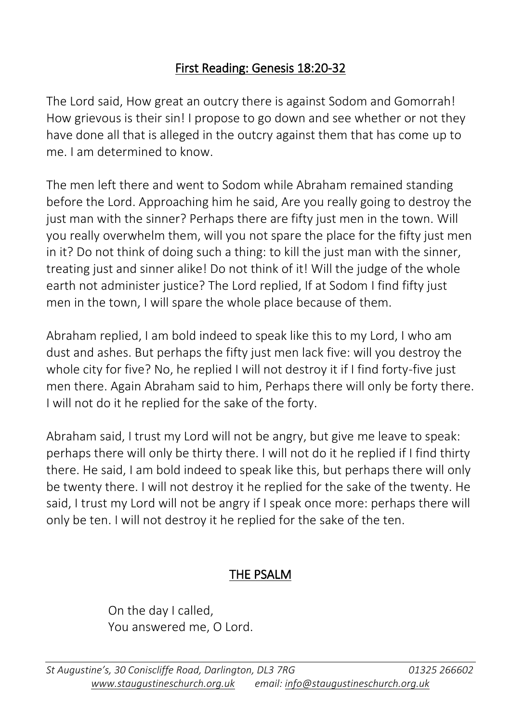#### First Reading: Genesis 18:20-32

The Lord said, How great an outcry there is against Sodom and Gomorrah! How grievous is their sin! I propose to go down and see whether or not they have done all that is alleged in the outcry against them that has come up to me. I am determined to know.

The men left there and went to Sodom while Abraham remained standing before the Lord. Approaching him he said, Are you really going to destroy the just man with the sinner? Perhaps there are fifty just men in the town. Will you really overwhelm them, will you not spare the place for the fifty just men in it? Do not think of doing such a thing: to kill the just man with the sinner, treating just and sinner alike! Do not think of it! Will the judge of the whole earth not administer justice? The Lord replied, If at Sodom I find fifty just men in the town, I will spare the whole place because of them.

Abraham replied, I am bold indeed to speak like this to my Lord, I who am dust and ashes. But perhaps the fifty just men lack five: will you destroy the whole city for five? No, he replied I will not destroy it if I find forty-five just men there. Again Abraham said to him, Perhaps there will only be forty there. I will not do it he replied for the sake of the forty.

Abraham said, I trust my Lord will not be angry, but give me leave to speak: perhaps there will only be thirty there. I will not do it he replied if I find thirty there. He said, I am bold indeed to speak like this, but perhaps there will only be twenty there. I will not destroy it he replied for the sake of the twenty. He said, I trust my Lord will not be angry if I speak once more: perhaps there will only be ten. I will not destroy it he replied for the sake of the ten.

#### THE PSALM

On the day I called, You answered me, O Lord.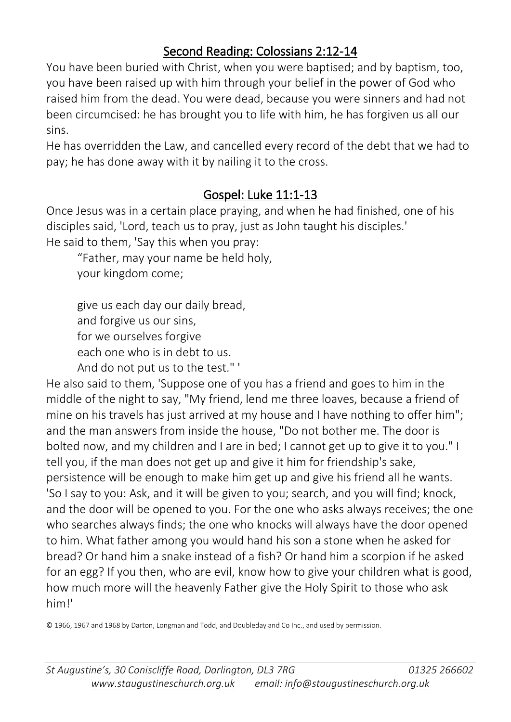#### Second Reading: Colossians 2:12-14

You have been buried with Christ, when you were baptised; and by baptism, too, you have been raised up with him through your belief in the power of God who raised him from the dead. You were dead, because you were sinners and had not been circumcised: he has brought you to life with him, he has forgiven us all our sins.

He has overridden the Law, and cancelled every record of the debt that we had to pay; he has done away with it by nailing it to the cross.

#### Gospel: Luke 11:1-13

Once Jesus was in a certain place praying, and when he had finished, one of his disciples said, 'Lord, teach us to pray, just as John taught his disciples.' He said to them, 'Say this when you pray:

"Father, may your name be held holy, your kingdom come;

give us each day our daily bread, and forgive us our sins, for we ourselves forgive each one who is in debt to us. And do not put us to the test." '

He also said to them, 'Suppose one of you has a friend and goes to him in the middle of the night to say, "My friend, lend me three loaves, because a friend of mine on his travels has just arrived at my house and I have nothing to offer him"; and the man answers from inside the house, "Do not bother me. The door is bolted now, and my children and I are in bed; I cannot get up to give it to you." I tell you, if the man does not get up and give it him for friendship's sake, persistence will be enough to make him get up and give his friend all he wants. 'So I say to you: Ask, and it will be given to you; search, and you will find; knock, and the door will be opened to you. For the one who asks always receives; the one who searches always finds; the one who knocks will always have the door opened to him. What father among you would hand his son a stone when he asked for bread? Or hand him a snake instead of a fish? Or hand him a scorpion if he asked for an egg? If you then, who are evil, know how to give your children what is good, how much more will the heavenly Father give the Holy Spirit to those who ask him!'

© 1966, 1967 and 1968 by Darton, Longman and Todd, and Doubleday and Co Inc., and used by permission.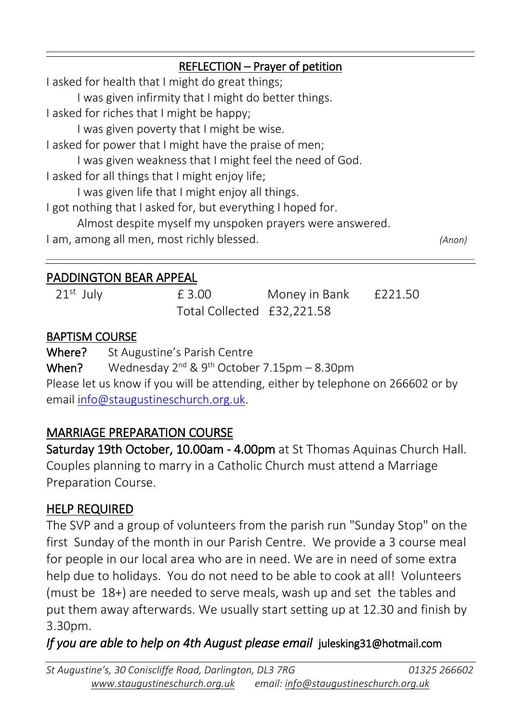#### REFLECTION – Prayer of petition

I asked for health that I might do great things; I was given infirmity that I might do better things. I asked for riches that I might be happy; I was given poverty that I might be wise. I asked for power that I might have the praise of men; I was given weakness that I might feel the need of God. I asked for all things that I might enjoy life; I was given life that I might enjoy all things. I got nothing that I asked for, but everything I hoped for. Almost despite myself my unspoken prayers were answered. I am, among all men, most richly blessed. *(Anon)*

#### PADDINGTON BEAR APPEAL

 $21^{st}$  July  $21^{st}$  July  $21^{st}$  July  $21^{st}$   $221.50$ Total Collected £32,221.58

 $\begin{bmatrix} 1 & 1 \\ 1 & 1 \end{bmatrix}$ 

 $\overline{\phantom{a}}$ 

#### BAPTISM COURSE

Where? St Augustine's Parish Centre

When? Wednesday  $2^{nd}$  &  $9^{th}$  October 7.15pm - 8.30pm Please let us know if you will be attending, either by telephone on 266602 or by email [info@staugustineschurch.org.uk.](mailto:info@staugustineschurch.org.uk)

#### MARRIAGE PREPARATION COURSE

Saturday 19th October, 10.00am - 4.00pm at St Thomas Aquinas Church Hall. Couples planning to marry in a Catholic Church must attend a Marriage Preparation Course.

#### HELP REQUIRED

The SVP and a group of volunteers from the parish run "Sunday Stop" on the first Sunday of the month in our Parish Centre. We provide a 3 course meal for people in our local area who are in need. We are in need of some extra help due to holidays. You do not need to be able to cook at all! Volunteers (must be 18+) are needed to serve meals, wash up and set the tables and put them away afterwards. We usually start setting up at 12.30 and finish by 3.30pm.

#### *If you are able to help on 4th August please email* julesking31@hotmail.com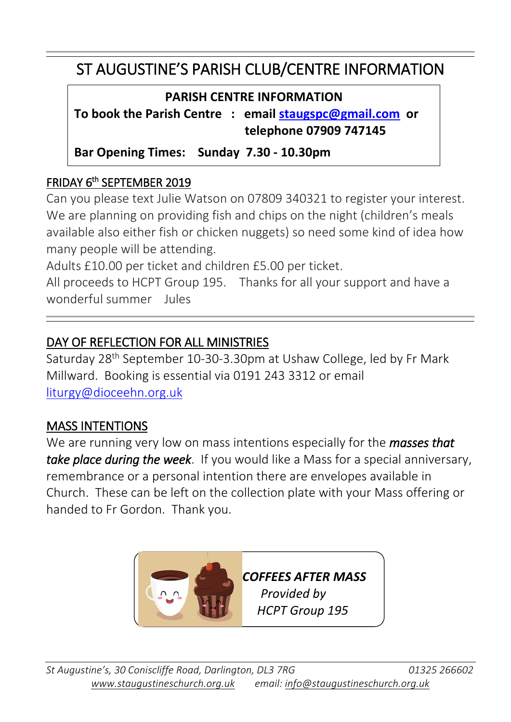#### ST AUGUSTINE'S PARISH CLUB/CENTRE INFORMATION

 $\begin{bmatrix} 1 & 1 \\ 1 & 1 \end{bmatrix}$ 

 $\overline{\phantom{a}}$ 

#### **PARISH CENTRE INFORMATION**

**To book the Parish Centre : email [staugspc@gmail.com](mailto:staugspc@gmail.com) or telephone 07909 747145**

**Bar Opening Times: Sunday 7.30 - 10.30pm**

#### **FRIDAY 6<sup>th</sup> SEPTEMBER 2019**

Can you please text Julie Watson on 07809 340321 to register your interest. We are planning on providing fish and chips on the night (children's meals available also either fish or chicken nuggets) so need some kind of idea how many people will be attending.

Adults £10.00 per ticket and children £5.00 per ticket.

All proceeds to HCPT Group 195. Thanks for all your support and have a wonderful summer Jules

#### DAY OF REFLECTION FOR ALL MINISTRIES

Saturday 28<sup>th</sup> September 10-30-3.30pm at Ushaw College, led by Fr Mark Millward. Booking is essential via 0191 243 3312 or email [liturgy@dioceehn.org.uk](mailto:liturgy@dioceehn.org.uk) 

#### MASS INTENTIONS

We are running very low on mass intentions especially for the *masses that take place during the week*. If you would like a Mass for a special anniversary, remembrance or a personal intention there are envelopes available in Church. These can be left on the collection plate with your Mass offering or handed to Fr Gordon. Thank you.